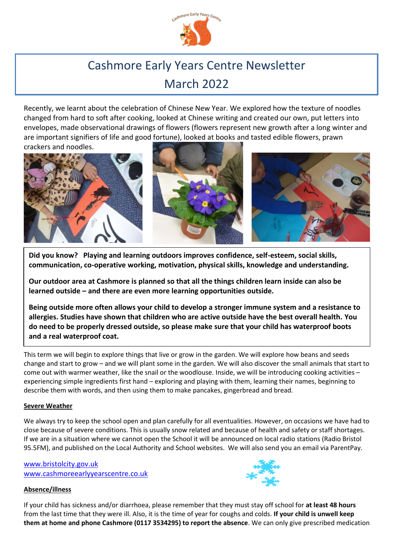

# Cashmore Early Years Centre Newsletter March 2022

Recently, we learnt about the celebration of Chinese New Year. We explored how the texture of noodles changed from hard to soft after cooking, looked at Chinese writing and created our own, put letters into envelopes, made observational drawings of flowers (flowers represent new growth after a long winter and are important signifiers of life and good fortune), looked at books and tasted edible flowers, prawn





**Did you know? Playing and learning outdoors improves confidence, self-esteem, social skills, communication, co-operative working, motivation, physical skills, knowledge and understanding.**

**Our outdoor area at Cashmore is planned so that all the things children learn inside can also be learned outside – and there are even more learning opportunities outside.**

**Being outside more often allows your child to develop a stronger immune system and a resistance to allergies. Studies have shown that children who are active outside have the best overall health. You do need to be properly dressed outside, so please make sure that your child has waterproof boots and a real waterproof coat.**

This term we will begin to explore things that live or grow in the garden. We will explore how beans and seeds change and start to grow – and we will plant some in the garden. We will also discover the small animals that start to come out with warmer weather, like the snail or the woodlouse. Inside, we will be introducing cooking activities – experiencing simple ingredients first hand – exploring and playing with them, learning their names, beginning to describe them with words, and then using them to make pancakes, gingerbread and bread.

### **Severe Weather**

We always try to keep the school open and plan carefully for all eventualities. However, on occasions we have had to close because of severe conditions. This is usually snow related and because of health and safety or staff shortages. If we are in a situation where we cannot open the School it will be announced on local radio stations (Radio Bristol 95.5FM), and published on the Local Authority and School websites. We will also send you an email via ParentPay.

[www.bristolcity.gov.uk](http://www.bristolcity.gov.uk/) www.cashmoreearlyyearscentre.co.uk

### **Absence/illness**



If your child has sickness and/or diarrhoea, please remember that they must stay off school for **at least 48 hours** from the last time that they were ill. Also, it is the time of year for coughs and colds. **If your child is unwell keep them at home and phone Cashmore (0117 3534295) to report the absence**. We can only give prescribed medication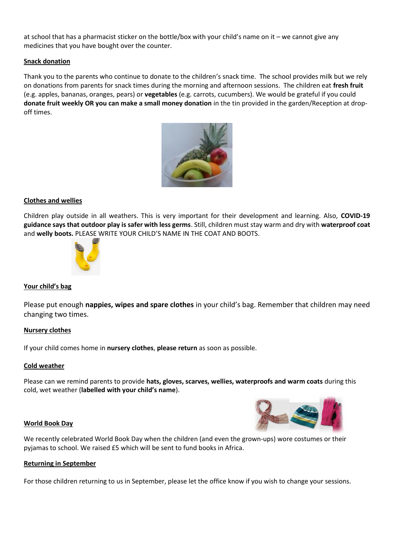at school that has a pharmacist sticker on the bottle/box with your child's name on it – we cannot give any medicines that you have bought over the counter.

#### **Snack donation**

Thank you to the parents who continue to donate to the children's snack time. The school provides milk but we rely on donations from parents for snack times during the morning and afternoon sessions. The children eat **fresh fruit** (e.g. apples, bananas, oranges, pears) or **vegetables** (e.g. carrots, cucumbers). We would be grateful if you could **donate fruit weekly OR you can make a small money donation** in the tin provided in the garden/Reception at dropoff times.



#### **Clothes and wellies**

Children play outside in all weathers. This is very important for their development and learning. Also, **COVID-19 guidance says that outdoor play is safer with less germs**. Still, children must stay warm and dry with **waterproof coat** and **welly boots.** PLEASE WRITE YOUR CHILD'S NAME IN THE COAT AND BOOTS.



#### **Your child's bag**

Please put enough **nappies, wipes and spare clothes** in your child's bag. Remember that children may need changing two times.

#### **Nursery clothes**

If your child comes home in **nursery clothes**, **please return** as soon as possible.

#### **Cold weather**

Please can we remind parents to provide **hats, gloves, scarves, wellies, waterproofs and warm coats** during this cold, wet weather (**labelled with your child's name**).

#### **World Book Day**

We recently celebrated World Book Day when the children (and even the grown-ups) wore costumes or their pyjamas to school. We raised £5 which will be sent to fund books in Africa.

#### **Returning in September**

For those children returning to us in September, please let the office know if you wish to change your sessions.